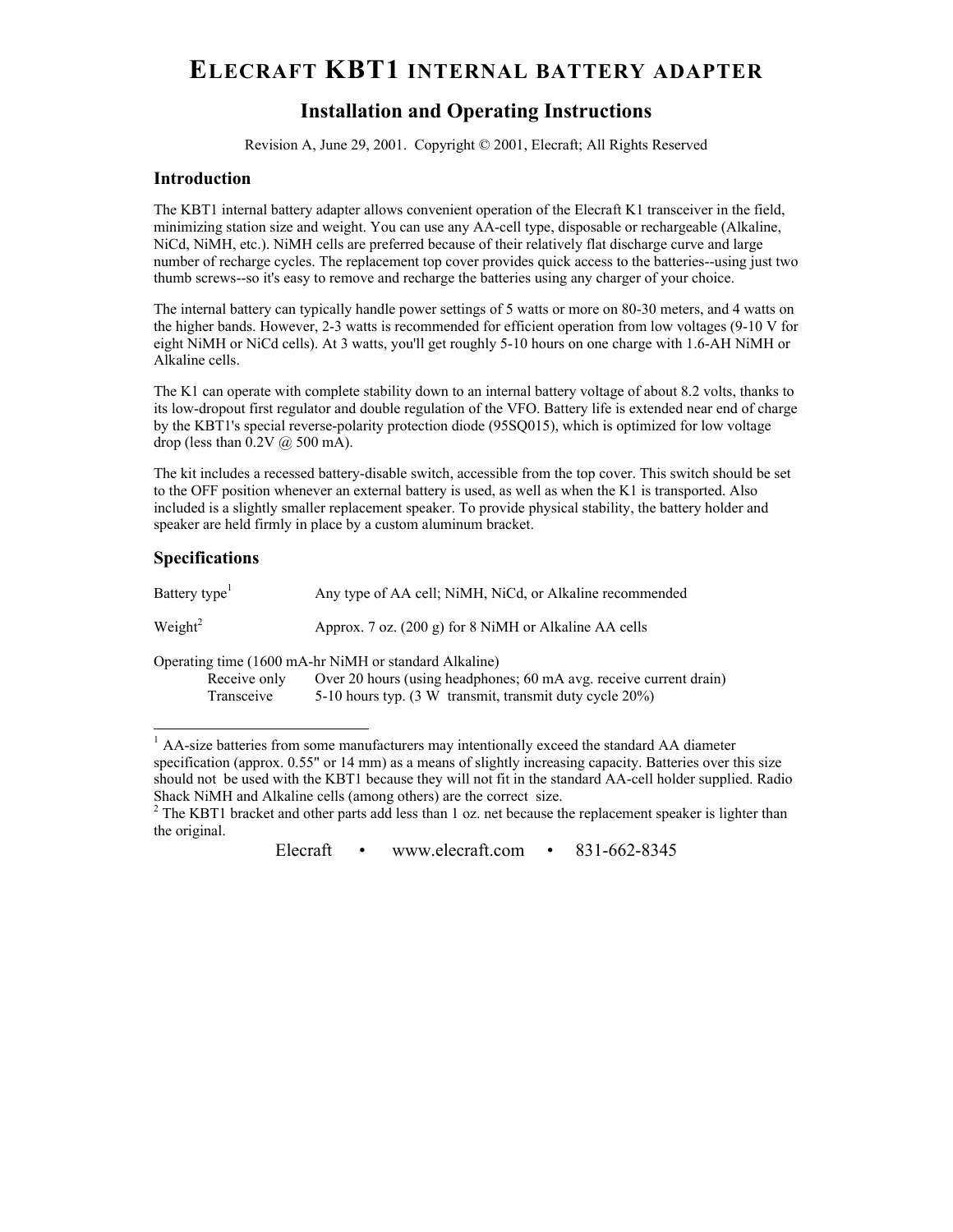# ELECRAFT **KBT1 INTERNAL BATTERY ADAPTER**

## **Installation and Operating Instructions**

Revision A, June 29, 2001. Copyright © 2001, Elecraft; All Rights Reserved

#### **Introduction**

The KBT1 internal battery adapter allows convenient operation of the Elecraft K1 transceiver in the field, minimizing station size and weight. You can use any AA-cell type, disposable or rechargeable (Alkaline, NiCd, NiMH, etc.). NiMH cells are preferred because of their relatively flat discharge curve and large number of recharge cycles. The replacement top cover provides quick access to the batteries--using just two thumb screws--so it's easy to remove and recharge the batteries using any charger of your choice.

The internal battery can typically handle power settings of 5 watts or more on 80-30 meters, and 4 watts on the higher bands. However, 2-3 watts is recommended for efficient operation from low voltages (9-10 V for eight NiMH or NiCd cells). At 3 watts, you'll get roughly 5-10 hours on one charge with 1.6-AH NiMH or Alkaline cells.

The K1 can operate with complete stability down to an internal battery voltage of about 8.2 volts, thanks to its low-dropout first regulator and double regulation of the VFO. Battery life is extended near end of charge by the KBT1's special reverse-polarity protection diode (95SQ015), which is optimized for low voltage drop (less than  $0.2V$   $\omega$  500 mA).

The kit includes a recessed battery-disable switch, accessible from the top cover. This switch should be set to the OFF position whenever an external battery is used, as well as when the K1 is transported. Also included is a slightly smaller replacement speaker. To provide physical stability, the battery holder and speaker are held firmly in place by a custom aluminum bracket.

#### **Specifications**

| Battery type <sup>1</sup>  | Any type of AA cell, NiMH, NiCd, or Alkaline recommended                                                                                                                               |
|----------------------------|----------------------------------------------------------------------------------------------------------------------------------------------------------------------------------------|
| Weight <sup>2</sup>        | Approx. 7 oz. (200 g) for 8 NiMH or Alkaline AA cells                                                                                                                                  |
| Receive only<br>Transceive | Operating time (1600 mA-hr NiMH or standard Alkaline)<br>Over 20 hours (using headphones; 60 mA avg. receive current drain)<br>5-10 hours typ. (3 W transmit, transmit duty cycle 20%) |

<sup>1</sup> AA-size batteries from some manufacturers may intentionally exceed the standard AA diameter specification (approx. 0.55" or 14 mm) as a means of slightly increasing capacity. Batteries over this size should not be used with the KBT1 because they will not fit in the standard AA-cell holder supplied. Radio Shack NiMH and Alkaline cells (among others) are the correct size.

 $2$  The KBT1 bracket and other parts add less than 1 oz. net because the replacement speaker is lighter than the original.

Elecraft • www.elecraft.com • 831-662-8345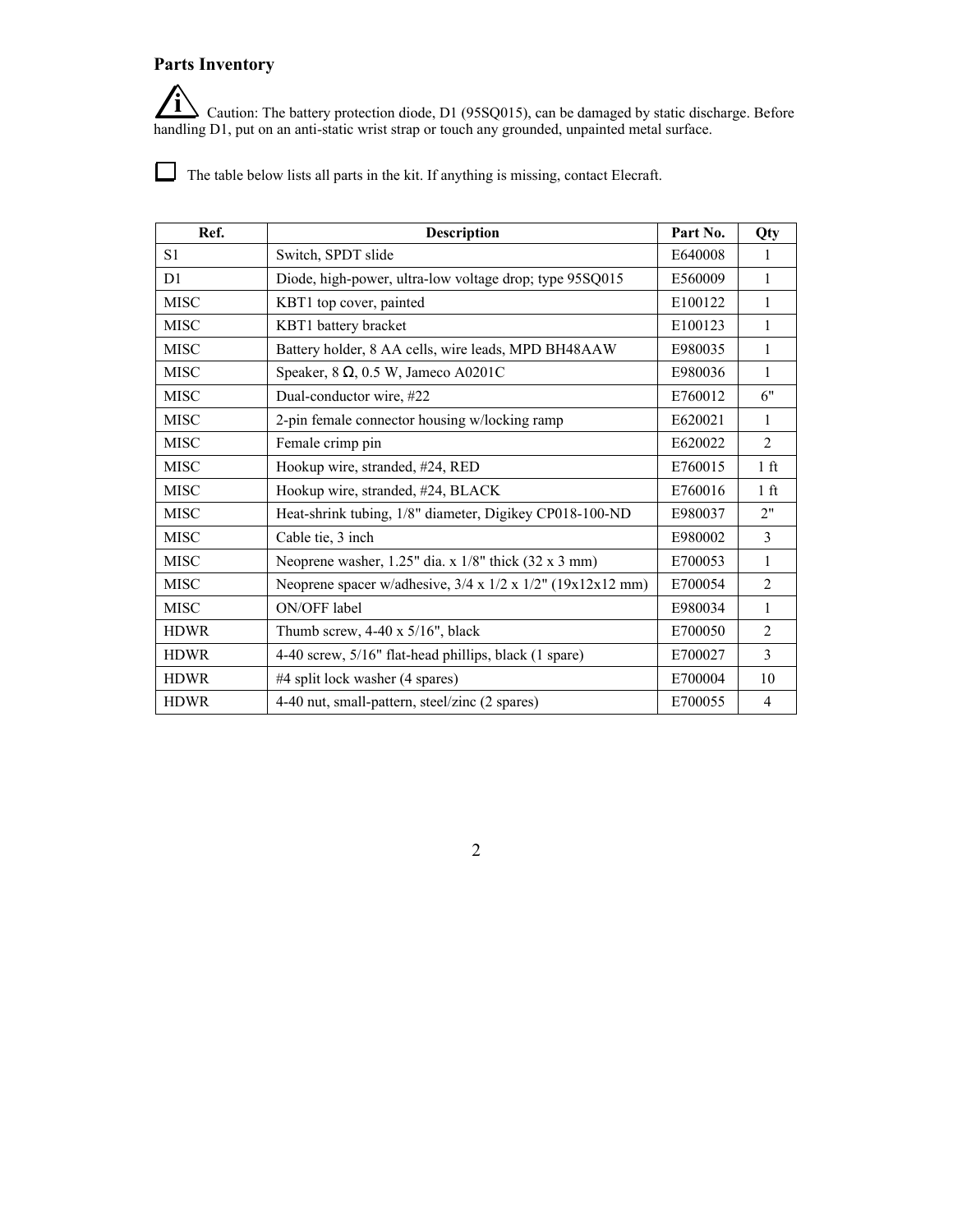## **Parts Inventory**

**i** Caution: The battery protection diode, D1 (95SQ015), can be damaged by static discharge. Before handling D1, put on an anti-static wrist strap or touch any grounded, unpainted metal surface.

The table below lists all parts in the kit. If anything is missing, contact Elecraft.

| Ref.           | <b>Description</b>                                                        | Part No. | Qty             |
|----------------|---------------------------------------------------------------------------|----------|-----------------|
| S1             | Switch, SPDT slide                                                        | E640008  | 1               |
| D <sub>1</sub> | Diode, high-power, ultra-low voltage drop; type 95SQ015                   | E560009  | 1               |
| <b>MISC</b>    | KBT1 top cover, painted                                                   | E100122  | 1               |
| <b>MISC</b>    | KBT1 battery bracket                                                      | E100123  | 1               |
| <b>MISC</b>    | Battery holder, 8 AA cells, wire leads, MPD BH48AAW                       | E980035  | 1               |
| <b>MISC</b>    | Speaker, 8, 0.5 W, Jameco A0201C                                          | E980036  | 1               |
| <b>MISC</b>    | Dual-conductor wire, #22                                                  | E760012  | 6"              |
| <b>MISC</b>    | 2-pin female connector housing w/locking ramp                             | E620021  | 1               |
| <b>MISC</b>    | Female crimp pin                                                          | E620022  | $\overline{2}$  |
| <b>MISC</b>    | Hookup wire, stranded, #24, RED                                           | E760015  | 1 <sub>f</sub>  |
| <b>MISC</b>    | Hookup wire, stranded, #24, BLACK                                         | E760016  | 1 <sup>ft</sup> |
| <b>MISC</b>    | Heat-shrink tubing, 1/8" diameter, Digikey CP018-100-ND                   | E980037  | 2"              |
| <b>MISC</b>    | Cable tie, 3 inch                                                         | E980002  | $\overline{3}$  |
| <b>MISC</b>    | Neoprene washer, $1.25$ " dia. x $1/8$ " thick $(32 \times 3 \text{ mm})$ | E700053  | $\mathbf{1}$    |
| <b>MISC</b>    | Neoprene spacer w/adhesive, 3/4 x 1/2 x 1/2" (19x12x12 mm)                | E700054  | $\overline{2}$  |
| <b>MISC</b>    | ON/OFF label                                                              | E980034  | 1               |
| <b>HDWR</b>    | Thumb screw, $4-40 \times 5/16$ ", black                                  | E700050  | $\overline{2}$  |
| <b>HDWR</b>    | 4-40 screw, 5/16" flat-head phillips, black (1 spare)                     | E700027  | $\mathcal{E}$   |
| <b>HDWR</b>    | #4 split lock washer (4 spares)                                           | E700004  | 10              |
| <b>HDWR</b>    | 4-40 nut, small-pattern, steel/zinc (2 spares)                            | E700055  | $\overline{4}$  |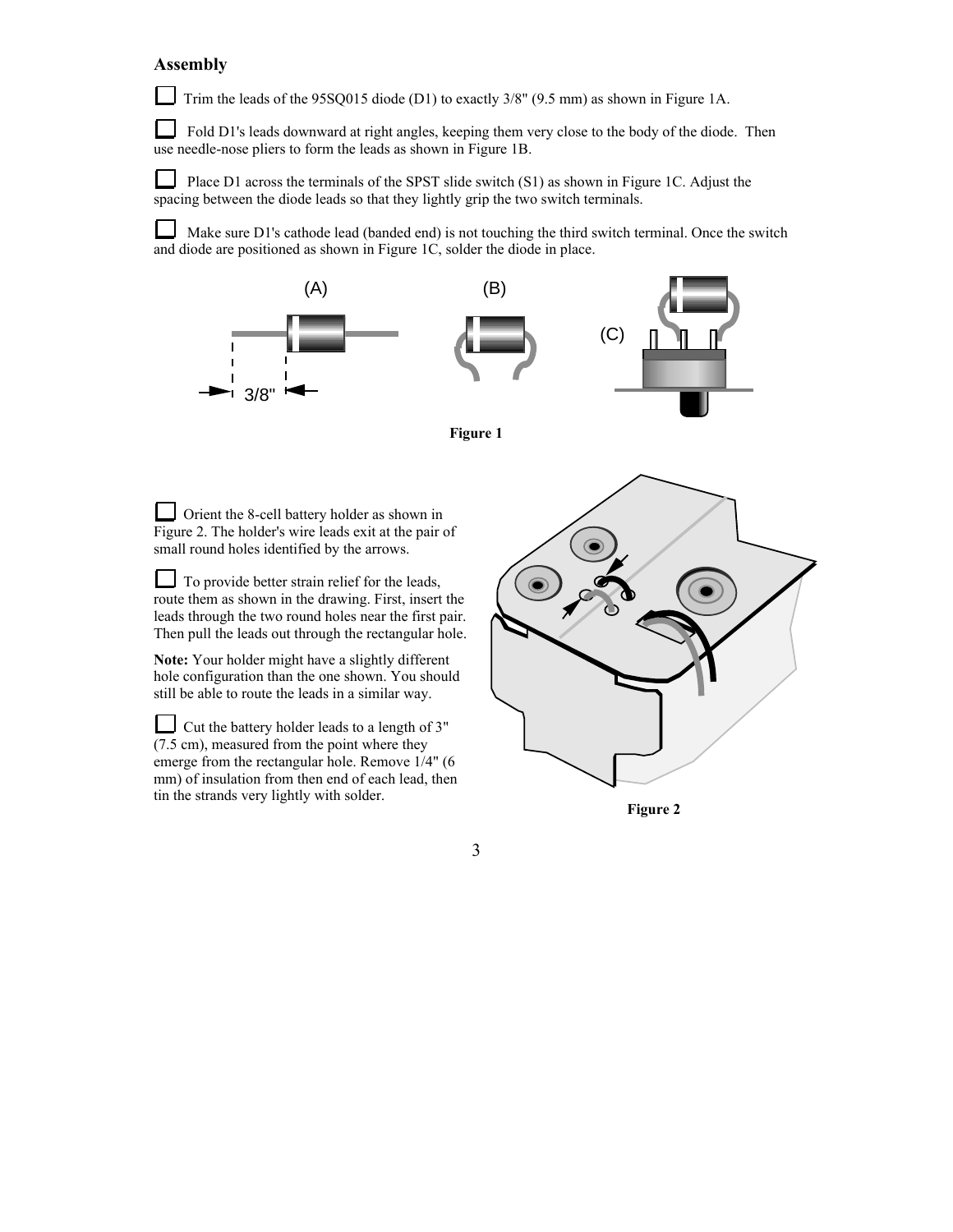### **Assembly**

Trim the leads of the 95SQ015 diode (D1) to exactly  $3/8$ " (9.5 mm) as shown in Figure 1A.

 $\Box$  Fold D1's leads downward at right angles, keeping them very close to the body of the diode. Then use needle-nose pliers to form the leads as shown in Figure 1B.

 $\mathsf{L}$  Place D1 across the terminals of the SPST slide switch (S1) as shown in Figure 1C. Adjust the spacing between the diode leads so that they lightly grip the two switch terminals.

Make sure D1's cathode lead (banded end) is not touching the third switch terminal. Once the switch and diode are positioned as shown in Figure 1C, solder the diode in place.





3

Orient the 8-cell battery holder as shown in Figure 2. The holder's wire leads exit at the pair of small round holes identified by the arrows.

To provide better strain relief for the leads, route them as shown in the drawing. First, insert the leads through the two round holes near the first pair. Then pull the leads out through the rectangular hole.

**Note:** Your holder might have a slightly different hole configuration than the one shown. You should still be able to route the leads in a similar way.

Cut the battery holder leads to a length of 3" (7.5 cm), measured from the point where they emerge from the rectangular hole. Remove 1/4" (6 mm) of insulation from then end of each lead, then tin the strands very lightly with solder.



**Figure 2**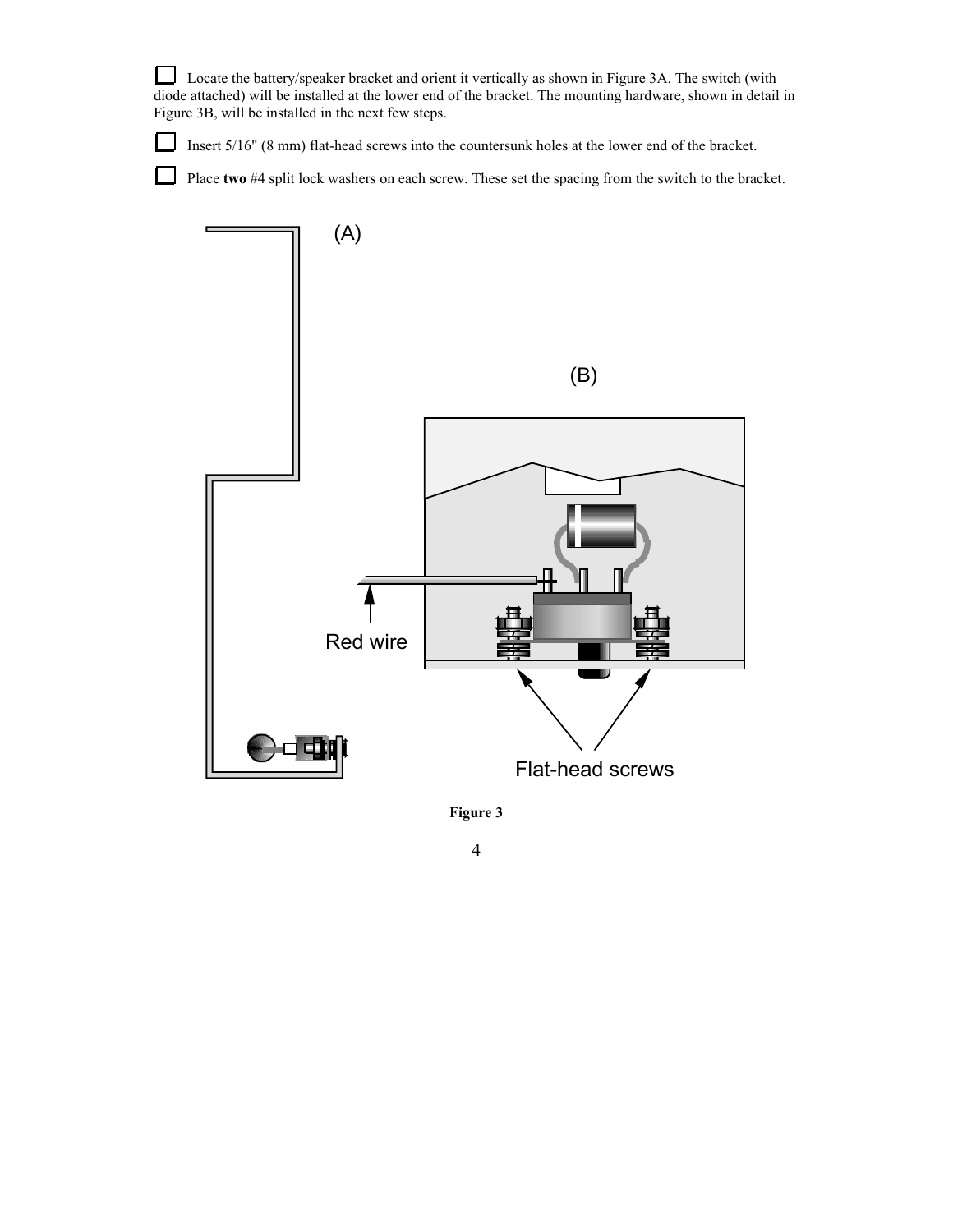Locate the battery/speaker bracket and orient it vertically as shown in Figure 3A. The switch (with diode attached) will be installed at the lower end of the bracket. The mounting hardware, shown in detail in Figure 3B, will be installed in the next few steps.

Insert 5/16" (8 mm) flat-head screws into the countersunk holes at the lower end of the bracket.

 $\Box$ 

⊔ Place **two** #4 split lock washers on each screw. These set the spacing from the switch to the bracket.





4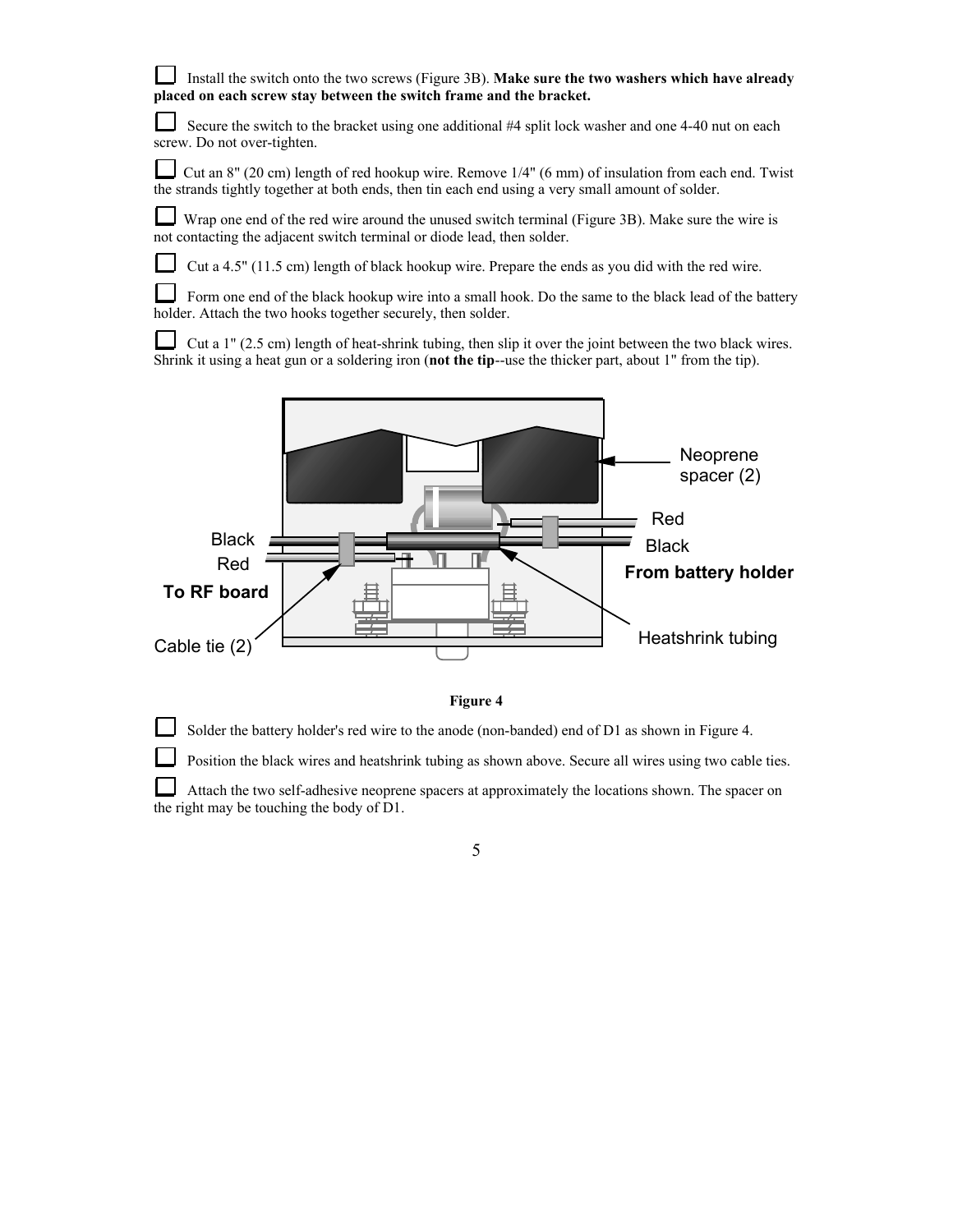| Install the switch onto the two screws (Figure 3B). Make sure the two washers which have already |
|--------------------------------------------------------------------------------------------------|
| placed on each screw stay between the switch frame and the bracket.                              |

⊔ Secure the switch to the bracket using one additional #4 split lock washer and one 4-40 nut on each screw. Do not over-tighten.

Cut an 8" (20 cm) length of red hookup wire. Remove 1/4" (6 mm) of insulation from each end. Twist the strands tightly together at both ends, then tin each end using a very small amount of solder.

⊔ Wrap one end of the red wire around the unused switch terminal (Figure 3B). Make sure the wire is not contacting the adjacent switch terminal or diode lead, then solder.

Cut a 4.5" (11.5 cm) length of black hookup wire. Prepare the ends as you did with the red wire.

 Form one end of the black hookup wire into a small hook. Do the same to the black lead of the battery holder. Attach the two hooks together securely, then solder.

Cut a  $1$ " (2.5 cm) length of heat-shrink tubing, then slip it over the joint between the two black wires. Shrink it using a heat gun or a soldering iron (**not the tip**--use the thicker part, about 1" from the tip).





Solder the battery holder's red wire to the anode (non-banded) end of D1 as shown in Figure 4.

Position the black wires and heatshrink tubing as shown above. Secure all wires using two cable ties.

 Attach the two self-adhesive neoprene spacers at approximately the locations shown. The spacer on the right may be touching the body of D1.

5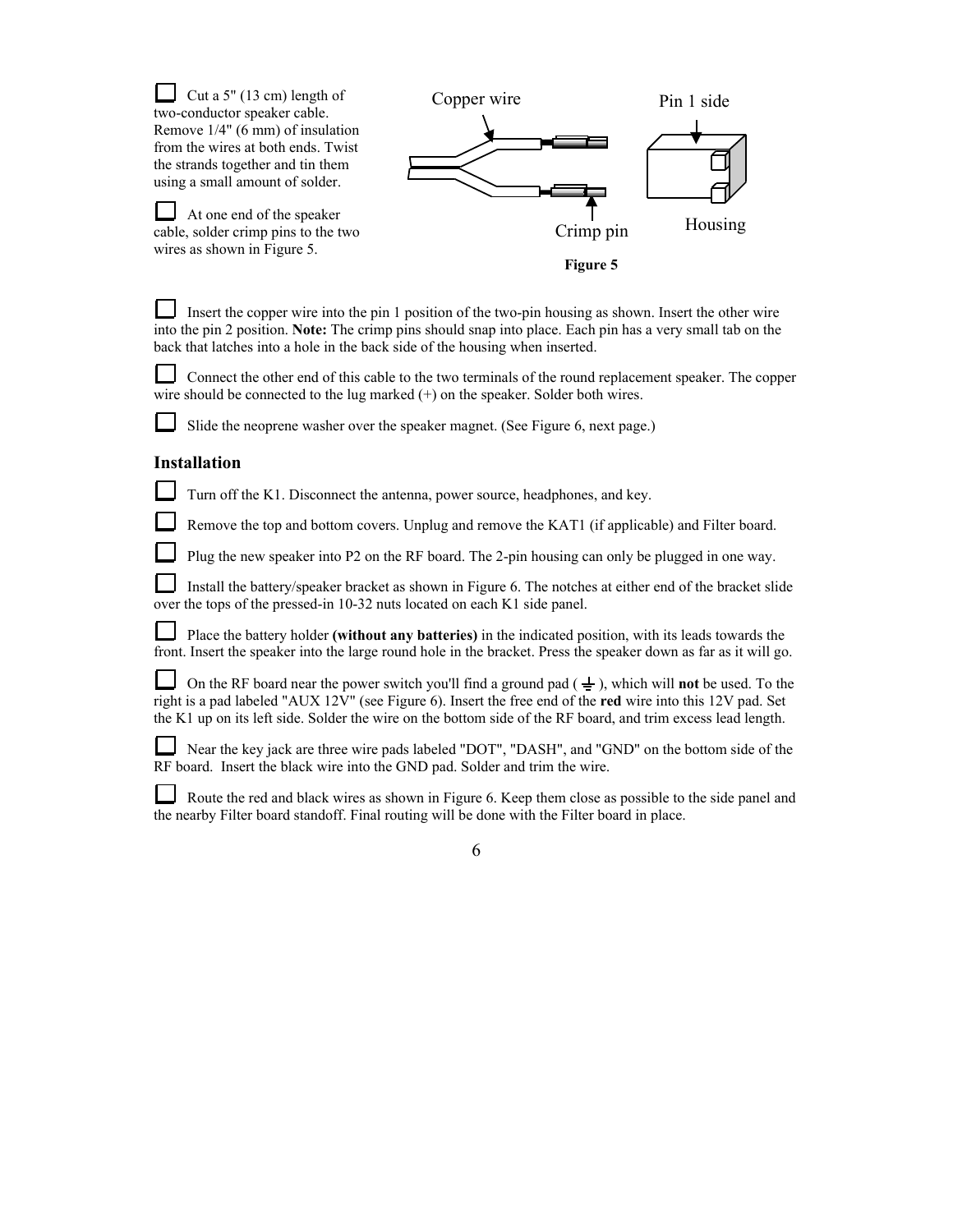| Cut a $5$ " (13 cm) length of<br>two-conductor speaker cable.                                                                                                                                                                                                                                                                                         | Copper wire           | Pin 1 side |
|-------------------------------------------------------------------------------------------------------------------------------------------------------------------------------------------------------------------------------------------------------------------------------------------------------------------------------------------------------|-----------------------|------------|
| Remove 1/4" (6 mm) of insulation<br>from the wires at both ends. Twist<br>the strands together and tin them<br>using a small amount of solder.                                                                                                                                                                                                        |                       |            |
| At one end of the speaker<br>cable, solder crimp pins to the two<br>wires as shown in Figure 5.                                                                                                                                                                                                                                                       | Crimp pin<br>Figure 5 | Housing    |
| Insert the copper wire into the pin 1 position of the two-pin housing as shown. Insert the other wire<br>into the pin 2 position. Note: The crimp pins should snap into place. Each pin has a very small tab on the<br>back that latches into a hole in the back side of the housing when inserted.                                                   |                       |            |
| Connect the other end of this cable to the two terminals of the round replacement speaker. The copper<br>wire should be connected to the lug marked $(+)$ on the speaker. Solder both wires.                                                                                                                                                          |                       |            |
| Slide the neoprene washer over the speaker magnet. (See Figure 6, next page.)                                                                                                                                                                                                                                                                         |                       |            |
| <b>Installation</b>                                                                                                                                                                                                                                                                                                                                   |                       |            |
| Turn off the K1. Disconnect the antenna, power source, headphones, and key.                                                                                                                                                                                                                                                                           |                       |            |
| Remove the top and bottom covers. Unplug and remove the KAT1 (if applicable) and Filter board.                                                                                                                                                                                                                                                        |                       |            |
| Plug the new speaker into P2 on the RF board. The 2-pin housing can only be plugged in one way.                                                                                                                                                                                                                                                       |                       |            |
| Install the battery/speaker bracket as shown in Figure 6. The notches at either end of the bracket slide<br>over the tops of the pressed-in 10-32 nuts located on each K1 side panel.                                                                                                                                                                 |                       |            |
| Place the battery holder (without any batteries) in the indicated position, with its leads towards the<br>front. Insert the speaker into the large round hole in the bracket. Press the speaker down as far as it will go.                                                                                                                            |                       |            |
| On the RF board near the power switch you'll find a ground pad $(\frac{1}{x})$ , which will <b>not</b> be used. To the<br>right is a pad labeled "AUX 12V" (see Figure 6). Insert the free end of the red wire into this 12V pad. Set<br>the K1 up on its left side. Solder the wire on the bottom side of the RF board, and trim excess lead length. |                       |            |
| Near the key jack are three wire pads labeled "DOT", "DASH", and "GND" on the bottom side of the<br>RF board. Insert the black wire into the GND pad. Solder and trim the wire.                                                                                                                                                                       |                       |            |
| Route the red and black wires as shown in Figure 6. Keep them close as possible to the side panel and                                                                                                                                                                                                                                                 |                       |            |

the nearby Filter board standoff. Final routing will be done with the Filter board in place.

| ٠ | ۰.<br>۰. |   |
|---|----------|---|
|   |          |   |
|   |          |   |
| × | ۰.<br>٧  | ٠ |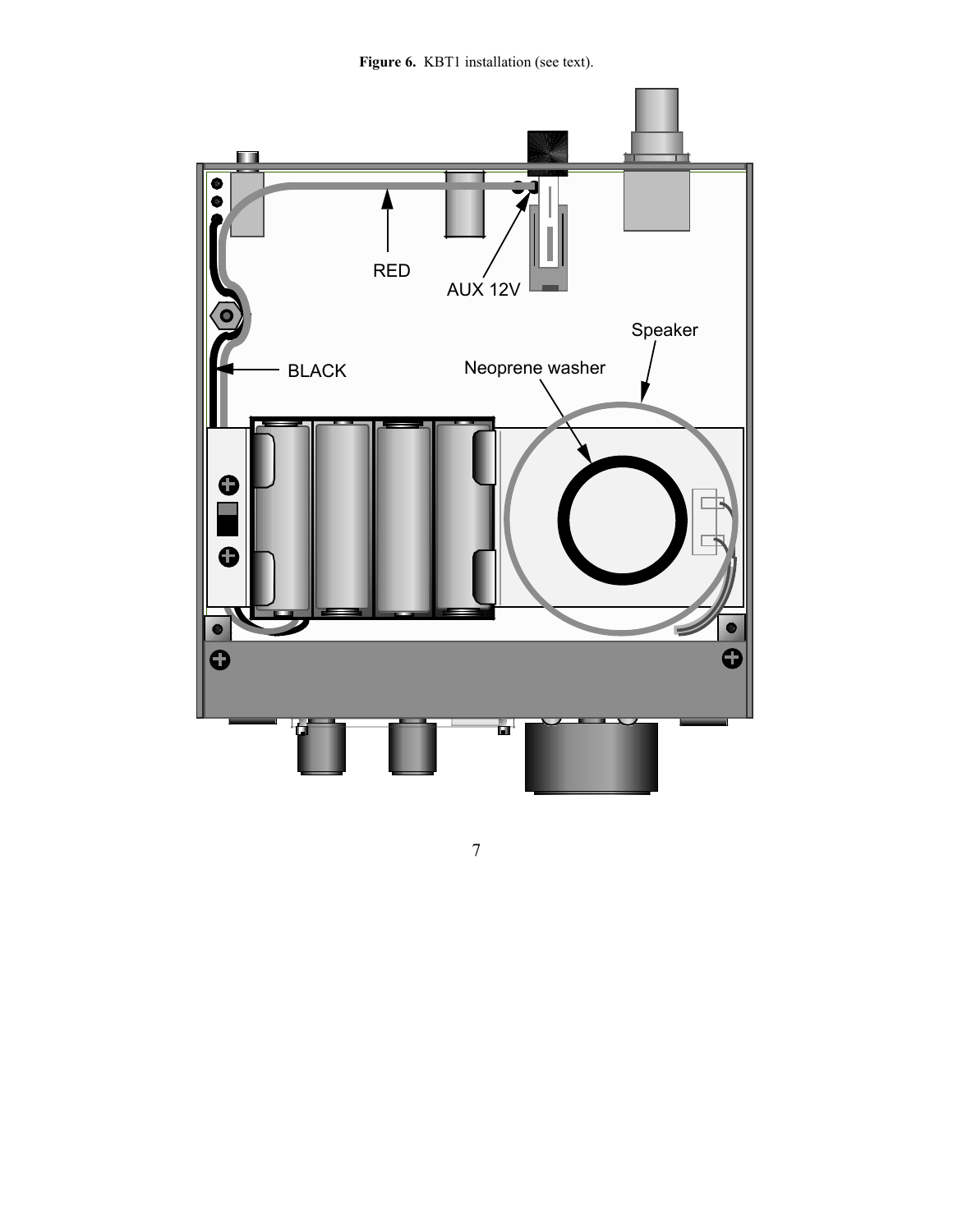Figure 6. KBT1 installation (see text).



7